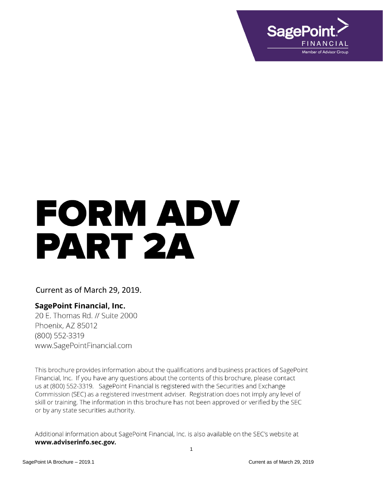

# FORM ADV PART 2A

# Current as of March 29, 2019.

## **SagePoint Financial, Inc.**

20 E. Thomas Rd. // Suite 2000 Phoenix, AZ 85012 (800) 552-3319 www.SagePointFinancial.com

This brochure provides information about the qualifications and business practices of SagePoint Financial, Inc. If you have any questions about the contents of this brochure, please contact us at (800) 552-3319. SagePoint Financial is registered with the Securities and Exchange Commission (SEC) as a registered investment adviser. Registration does not imply any level of skill or training. The information in this brochure has not been approved or verified by the SEC or by any state securities authority.

Additional information about SagePoint Financial, Inc. is also available on the SEC's website at www.adviserinfo.sec.gov.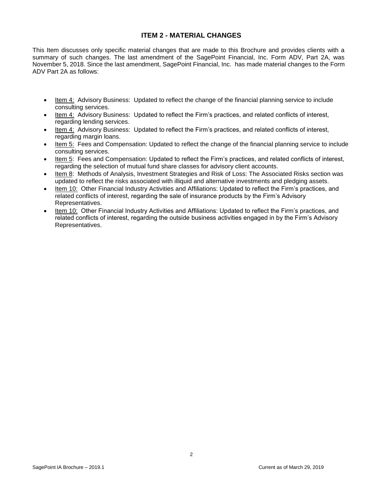## **ITEM 2 - MATERIAL CHANGES**

<span id="page-1-0"></span>This Item discusses only specific material changes that are made to this Brochure and provides clients with a summary of such changes. The last amendment of the SagePoint Financial, Inc. Form ADV, Part 2A, was November 5, 2018. Since the last amendment, SagePoint Financial, Inc. has made material changes to the Form ADV Part 2A as follows:

- Item 4: Advisory Business: Updated to reflect the change of the financial planning service to include consulting services.
- Item 4: Advisory Business: Updated to reflect the Firm's practices, and related conflicts of interest, regarding lending services.
- Item 4: Advisory Business: Updated to reflect the Firm's practices, and related conflicts of interest, regarding margin loans.
- Item 5: Fees and Compensation: Updated to reflect the change of the financial planning service to include consulting services.
- Item 5: Fees and Compensation: Updated to reflect the Firm's practices, and related conflicts of interest, regarding the selection of mutual fund share classes for advisory client accounts.
- Item 8: Methods of Analysis, Investment Strategies and Risk of Loss: The Associated Risks section was updated to reflect the risks associated with illiquid and alternative investments and pledging assets.
- Item 10: Other Financial Industry Activities and Affiliations: Updated to reflect the Firm's practices, and related conflicts of interest, regarding the sale of insurance products by the Firm's Advisory Representatives.
- Item 10: Other Financial Industry Activities and Affiliations: Updated to reflect the Firm's practices, and related conflicts of interest, regarding the outside business activities engaged in by the Firm's Advisory Representatives.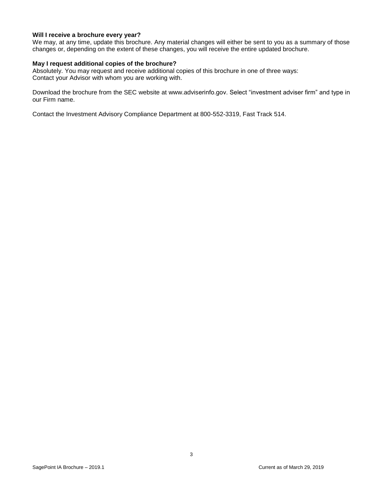#### **Will I receive a brochure every year?**

We may, at any time, update this brochure. Any material changes will either be sent to you as a summary of those changes or, depending on the extent of these changes, you will receive the entire updated brochure.

#### **May I request additional copies of the brochure?**

Absolutely. You may request and receive additional copies of this brochure in one of three ways: Contact your Advisor with whom you are working with.

Download the brochure from the SEC website at www.adviserinfo.gov. Select "investment adviser firm" and type in our Firm name.

Contact the Investment Advisory Compliance Department at 800-552-3319, Fast Track 514.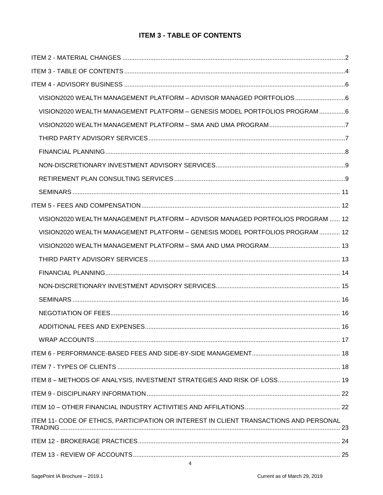# **ITEM 3 - TABLE OF CONTENTS**

<span id="page-3-0"></span>

| VISION2020 WEALTH MANAGEMENT PLATFORM - ADVISOR MANAGED PORTFOLIOS                     |  |
|----------------------------------------------------------------------------------------|--|
| VISION2020 WEALTH MANAGEMENT PLATFORM - GENESIS MODEL PORTFOLIOS PROGRAM 6             |  |
|                                                                                        |  |
|                                                                                        |  |
|                                                                                        |  |
|                                                                                        |  |
|                                                                                        |  |
|                                                                                        |  |
|                                                                                        |  |
| VISION2020 WEALTH MANAGEMENT PLATFORM - ADVISOR MANAGED PORTFOLIOS PROGRAM  12         |  |
| VISION2020 WEALTH MANAGEMENT PLATFORM - GENESIS MODEL PORTFOLIOS PROGRAM  12           |  |
|                                                                                        |  |
|                                                                                        |  |
|                                                                                        |  |
|                                                                                        |  |
|                                                                                        |  |
|                                                                                        |  |
|                                                                                        |  |
|                                                                                        |  |
|                                                                                        |  |
|                                                                                        |  |
| ITEM 8 - METHODS OF ANALYSIS, INVESTMENT STRATEGIES AND RISK OF LOSS 19                |  |
|                                                                                        |  |
|                                                                                        |  |
| ITEM 11- CODE OF ETHICS, PARTICIPATION OR INTEREST IN CLIENT TRANSACTIONS AND PERSONAL |  |
|                                                                                        |  |
|                                                                                        |  |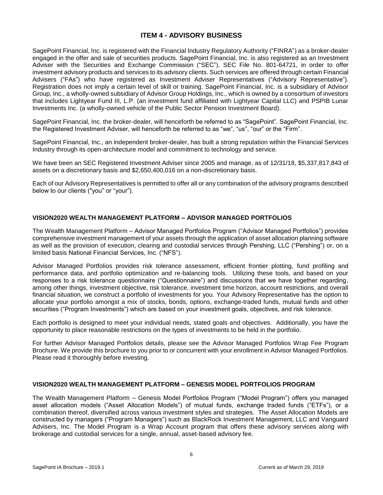## **ITEM 4 - ADVISORY BUSINESS**

<span id="page-5-0"></span>SagePoint Financial, Inc. is registered with the Financial Industry Regulatory Authority ("FINRA") as a broker-dealer engaged in the offer and sale of securities products. SagePoint Financial, Inc. is also registered as an Investment Adviser with the Securities and Exchange Commission ("SEC"), SEC File No. 801-64721, in order to offer investment advisory products and services to its advisory clients. Such services are offered through certain Financial Advisers ("FAs") who have registered as Investment Adviser Representatives ("Advisory Representative"). Registration does not imply a certain level of skill or training. SagePoint Financial, Inc. is a subsidiary of Advisor Group, Inc., a wholly-owned subsidiary of Advisor Group Holdings, Inc., which is owned by a consortium of investors that includes Lightyear Fund III, L.P. (an investment fund affiliated with Lightyear Capital LLC) and PSPIB Lunar Investments Inc. (a wholly-owned vehicle of the Public Sector Pension Investment Board).

SagePoint Financial, Inc. the broker-dealer, will henceforth be referred to as "SagePoint". SagePoint Financial, Inc. the Registered Investment Adviser, will henceforth be referred to as "we", "us", "our" or the "Firm".

SagePoint Financial, Inc., an independent broker-dealer, has built a strong reputation within the Financial Services Industry through its open-architecture model and commitment to technology and service.

We have been an SEC Registered Investment Adviser since 2005 and manage, as of 12/31/18, \$5,337,817,843 of assets on a discretionary basis and \$2,650,400,016 on a non-discretionary basis.

Each of our Advisory Representatives is permitted to offer all or any combination of the advisory programs described below to our clients ("you" or "your").

## <span id="page-5-1"></span>**VISION2020 WEALTH MANAGEMENT PLATFORM – ADVISOR MANAGED PORTFOLIOS**

The Wealth Management Platform – Advisor Managed Portfolios Program ("Advisor Managed Portfolios") provides comprehensive investment management of your assets through the application of asset allocation planning software as well as the provision of execution, clearing and custodial services through Pershing, LLC ("Pershing") or, on a limited basis National Financial Services, Inc. ("NFS").

Advisor Managed Portfolios provides risk tolerance assessment, efficient frontier plotting, fund profiling and performance data, and portfolio optimization and re-balancing tools. Utilizing these tools, and based on your responses to a risk tolerance questionnaire ("Questionnaire") and discussions that we have together regarding, among other things, investment objective, risk tolerance, investment time horizon, account restrictions, and overall financial situation, we construct a portfolio of investments for you. Your Advisory Representative has the option to allocate your portfolio amongst a mix of stocks, bonds, options, exchange-traded funds, mutual funds and other securities ("Program Investments") which are based on your investment goals, objectives, and risk tolerance.

Each portfolio is designed to meet your individual needs, stated goals and objectives. Additionally, you have the opportunity to place reasonable restrictions on the types of investments to be held in the portfolio.

For further Advisor Managed Portfolios details, please see the Advisor Managed Portfolios Wrap Fee Program Brochure. We provide this brochure to you prior to or concurrent with your enrollment in Advisor Managed Portfolios. Please read it thoroughly before investing.

#### <span id="page-5-2"></span>**VISION2020 WEALTH MANAGEMENT PLATFORM – GENESIS MODEL PORTFOLIOS PROGRAM**

The Wealth Management Platform – Genesis Model Portfolios Program ("Model Program") offers you managed asset allocation models ("Asset Allocation Models") of mutual funds, exchange traded funds ("ETFs"), or a combination thereof, diversified across various investment styles and strategies. The Asset Allocation Models are constructed by managers ("Program Managers") such as BlackRock Investment Management, LLC and Vanguard Advisers, Inc. The Model Program is a Wrap Account program that offers these advisory services along with brokerage and custodial services for a single, annual, asset-based advisory fee.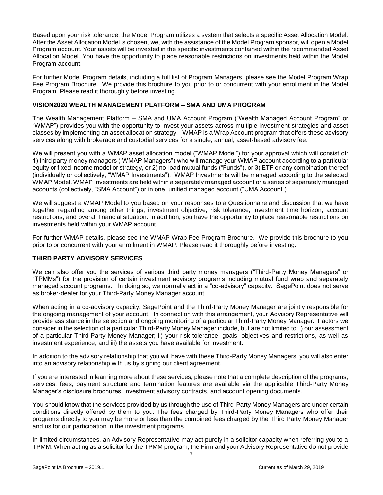Based upon your risk tolerance, the Model Program utilizes a system that selects a specific Asset Allocation Model. After the Asset Allocation Model is chosen, we, with the assistance of the Model Program sponsor, will open a Model Program account. Your assets will be invested in the specific investments contained within the recommended Asset Allocation Model. You have the opportunity to place reasonable restrictions on investments held within the Model Program account.

For further Model Program details, including a full list of Program Managers, please see the Model Program Wrap Fee Program Brochure. We provide this brochure to you prior to or concurrent with your enrollment in the Model Program. Please read it thoroughly before investing.

#### <span id="page-6-0"></span>**VISION2020 WEALTH MANAGEMENT PLATFORM – SMA AND UMA PROGRAM**

The Wealth Management Platform – SMA and UMA Account Program ("Wealth Managed Account Program" or "WMAP") provides you with the opportunity to invest your assets across multiple investment strategies and asset classes by implementing an asset allocation strategy. WMAP is a Wrap Account program that offers these advisory services along with brokerage and custodial services for a single, annual, asset-based advisory fee.

We will present you with a WMAP asset allocation model ("WMAP Model") for your approval which will consist of: 1) third party money managers ("WMAP Managers") who will manage your WMAP account according to a particular equity or fixed income model or strategy, or 2) no-load mutual funds ("Funds"), or 3) ETF or any combination thereof (individually or collectively, "WMAP Investments"). WMAP Investments will be managed according to the selected WMAP Model. WMAP Investments are held within a separately managed account or a series of separately managed accounts (collectively, "SMA Account") or in one, unified managed account ("UMA Account").

We will suggest a WMAP Model to you based on your responses to a Questionnaire and discussion that we have together regarding among other things, investment objective, risk tolerance, investment time horizon, account restrictions, and overall financial situation. In addition, you have the opportunity to place reasonable restrictions on investments held within your WMAP account.

For further WMAP details, please see the WMAP Wrap Fee Program Brochure. We provide this brochure to you prior to or concurrent with your enrollment in WMAP. Please read it thoroughly before investing.

#### <span id="page-6-1"></span>**THIRD PARTY ADVISORY SERVICES**

We can also offer you the services of various third party money managers ("Third-Party Money Managers" or "TPMMs") for the provision of certain investment advisory programs including mutual fund wrap and separately managed account programs. In doing so, we normally act in a "co-advisory" capacity. SagePoint does not serve as broker-dealer for your Third-Party Money Manager account.

When acting in a co-advisory capacity, SagePoint and the Third-Party Money Manager are jointly responsible for the ongoing management of your account. In connection with this arrangement, your Advisory Representative will provide assistance in the selection and ongoing monitoring of a particular Third-Party Money Manager. Factors we consider in the selection of a particular Third-Party Money Manager include, but are not limited to: i) our assessment of a particular Third-Party Money Manager; ii) your risk tolerance, goals, objectives and restrictions, as well as investment experience; and iii) the assets you have available for investment.

In addition to the advisory relationship that you will have with these Third-Party Money Managers, you will also enter into an advisory relationship with us by signing our client agreement.

If you are interested in learning more about these services, please note that a complete description of the programs, services, fees, payment structure and termination features are available via the applicable Third-Party Money Manager's disclosure brochures, investment advisory contracts, and account opening documents.

You should know that the services provided by us through the use of Third-Party Money Managers are under certain conditions directly offered by them to you. The fees charged by Third-Party Money Managers who offer their programs directly to you may be more or less than the combined fees charged by the Third Party Money Manager and us for our participation in the investment programs.

In limited circumstances, an Advisory Representative may act purely in a solicitor capacity when referring you to a TPMM. When acting as a solicitor for the TPMM program, the Firm and your Advisory Representative do not provide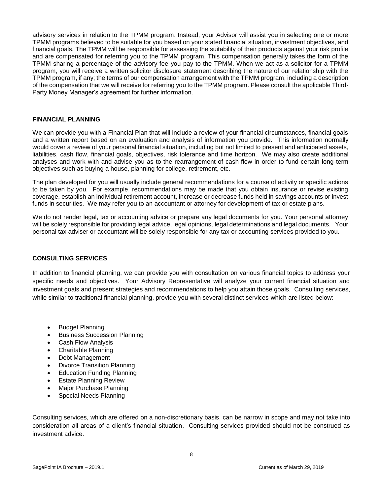advisory services in relation to the TPMM program. Instead, your Advisor will assist you in selecting one or more TPMM programs believed to be suitable for you based on your stated financial situation, investment objectives, and financial goals. The TPMM will be responsible for assessing the suitability of their products against your risk profile and are compensated for referring you to the TPMM program. This compensation generally takes the form of the TPMM sharing a percentage of the advisory fee you pay to the TPMM. When we act as a solicitor for a TPMM program, you will receive a written solicitor disclosure statement describing the nature of our relationship with the TPMM program, if any; the terms of our compensation arrangement with the TPMM program, including a description of the compensation that we will receive for referring you to the TPMM program. Please consult the applicable Third-Party Money Manager's agreement for further information.

#### <span id="page-7-0"></span>**FINANCIAL PLANNING**

We can provide you with a Financial Plan that will include a review of your financial circumstances, financial goals and a written report based on an evaluation and analysis of information you provide. This information normally would cover a review of your personal financial situation, including but not limited to present and anticipated assets, liabilities, cash flow, financial goals, objectives, risk tolerance and time horizon. We may also create additional analyses and work with and advise you as to the rearrangement of cash flow in order to fund certain long-term objectives such as buying a house, planning for college, retirement, etc.

The plan developed for you will usually include general recommendations for a course of activity or specific actions to be taken by you. For example, recommendations may be made that you obtain insurance or revise existing coverage, establish an individual retirement account, increase or decrease funds held in savings accounts or invest funds in securities. We may refer you to an accountant or attorney for development of tax or estate plans.

We do not render legal, tax or accounting advice or prepare any legal documents for you. Your personal attorney will be solely responsible for providing legal advice, legal opinions, legal determinations and legal documents. Your personal tax adviser or accountant will be solely responsible for any tax or accounting services provided to you.

#### **CONSULTING SERVICES**

In addition to financial planning, we can provide you with consultation on various financial topics to address your specific needs and objectives. Your Advisory Representative will analyze your current financial situation and investment goals and present strategies and recommendations to help you attain those goals. Consulting services, while similar to traditional financial planning, provide you with several distinct services which are listed below:

- Budget Planning
- Business Succession Planning
- Cash Flow Analysis
- Charitable Planning
- Debt Management
- Divorce Transition Planning
- Education Funding Planning
- Estate Planning Review
- Major Purchase Planning
- Special Needs Planning

Consulting services, which are offered on a non-discretionary basis, can be narrow in scope and may not take into consideration all areas of a client's financial situation. Consulting services provided should not be construed as investment advice.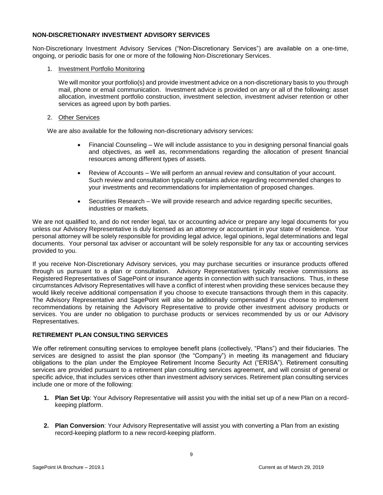#### <span id="page-8-0"></span>**NON-DISCRETIONARY INVESTMENT ADVISORY SERVICES**

Non-Discretionary Investment Advisory Services ("Non-Discretionary Services") are available on a one-time, ongoing, or periodic basis for one or more of the following Non-Discretionary Services.

#### 1. Investment Portfolio Monitoring

We will monitor your portfolio(s) and provide investment advice on a non-discretionary basis to you through mail, phone or email communication. Investment advice is provided on any or all of the following: asset allocation, investment portfolio construction, investment selection, investment adviser retention or other services as agreed upon by both parties.

#### 2. Other Services

We are also available for the following non-discretionary advisory services:

- Financial Counseling We will include assistance to you in designing personal financial goals and objectives, as well as, recommendations regarding the allocation of present financial resources among different types of assets.
- Review of Accounts We will perform an annual review and consultation of your account. Such review and consultation typically contains advice regarding recommended changes to your investments and recommendations for implementation of proposed changes.
- Securities Research We will provide research and advice regarding specific securities, industries or markets.

We are not qualified to, and do not render legal, tax or accounting advice or prepare any legal documents for you unless our Advisory Representative is duly licensed as an attorney or accountant in your state of residence. Your personal attorney will be solely responsible for providing legal advice, legal opinions, legal determinations and legal documents. Your personal tax adviser or accountant will be solely responsible for any tax or accounting services provided to you.

If you receive Non-Discretionary Advisory services, you may purchase securities or insurance products offered through us pursuant to a plan or consultation. Advisory Representatives typically receive commissions as Registered Representatives of SagePoint or insurance agents in connection with such transactions. Thus, in these circumstances Advisory Representatives will have a conflict of interest when providing these services because they would likely receive additional compensation if you choose to execute transactions through them in this capacity. The Advisory Representative and SagePoint will also be additionally compensated if you choose to implement recommendations by retaining the Advisory Representative to provide other investment advisory products or services. You are under no obligation to purchase products or services recommended by us or our Advisory Representatives.

#### <span id="page-8-1"></span>**RETIREMENT PLAN CONSULTING SERVICES**

We offer retirement consulting services to employee benefit plans (collectively, "Plans") and their fiduciaries. The services are designed to assist the plan sponsor (the "Company") in meeting its management and fiduciary obligations to the plan under the Employee Retirement Income Security Act ("ERISA"). Retirement consulting services are provided pursuant to a retirement plan consulting services agreement, and will consist of general or specific advice, that includes services other than investment advisory services. Retirement plan consulting services include one or more of the following:

- **1. Plan Set Up**: Your Advisory Representative will assist you with the initial set up of a new Plan on a recordkeeping platform.
- **2. Plan Conversion**: Your Advisory Representative will assist you with converting a Plan from an existing record-keeping platform to a new record-keeping platform.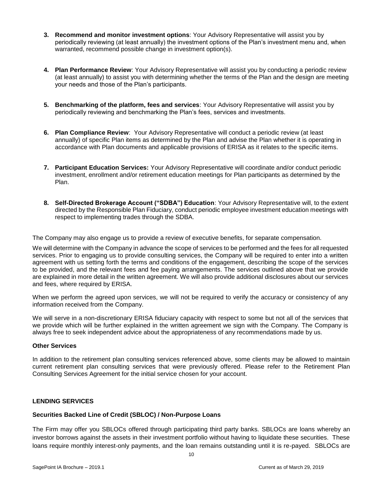- **3. Recommend and monitor investment options**: Your Advisory Representative will assist you by periodically reviewing (at least annually) the investment options of the Plan's investment menu and, when warranted, recommend possible change in investment option(s).
- **4. Plan Performance Review**: Your Advisory Representative will assist you by conducting a periodic review (at least annually) to assist you with determining whether the terms of the Plan and the design are meeting your needs and those of the Plan's participants.
- **5. Benchmarking of the platform, fees and services**: Your Advisory Representative will assist you by periodically reviewing and benchmarking the Plan's fees, services and investments.
- **6. Plan Compliance Review**: Your Advisory Representative will conduct a periodic review (at least annually) of specific Plan items as determined by the Plan and advise the Plan whether it is operating in accordance with Plan documents and applicable provisions of ERISA as it relates to the specific items.
- **7. Participant Education Services:** Your Advisory Representative will coordinate and/or conduct periodic investment, enrollment and/or retirement education meetings for Plan participants as determined by the Plan.
- **8. Self-Directed Brokerage Account ("SDBA") Education**: Your Advisory Representative will, to the extent directed by the Responsible Plan Fiduciary, conduct periodic employee investment education meetings with respect to implementing trades through the SDBA.

The Company may also engage us to provide a review of executive benefits, for separate compensation.

We will determine with the Company in advance the scope of services to be performed and the fees for all requested services. Prior to engaging us to provide consulting services, the Company will be required to enter into a written agreement with us setting forth the terms and conditions of the engagement, describing the scope of the services to be provided, and the relevant fees and fee paying arrangements. The services outlined above that we provide are explained in more detail in the written agreement. We will also provide additional disclosures about our services and fees, where required by ERISA.

When we perform the agreed upon services, we will not be required to verify the accuracy or consistency of any information received from the Company.

We will serve in a non-discretionary ERISA fiduciary capacity with respect to some but not all of the services that we provide which will be further explained in the written agreement we sign with the Company. The Company is always free to seek independent advice about the appropriateness of any recommendations made by us.

#### **Other Services**

In addition to the retirement plan consulting services referenced above, some clients may be allowed to maintain current retirement plan consulting services that were previously offered. Please refer to the Retirement Plan Consulting Services Agreement for the initial service chosen for your account.

#### **LENDING SERVICES**

#### **Securities Backed Line of Credit (SBLOC) / Non-Purpose Loans**

The Firm may offer you SBLOCs offered through participating third party banks. SBLOCs are loans whereby an investor borrows against the assets in their investment portfolio without having to liquidate these securities. These loans require monthly interest-only payments, and the loan remains outstanding until it is re-payed. SBLOCs are

10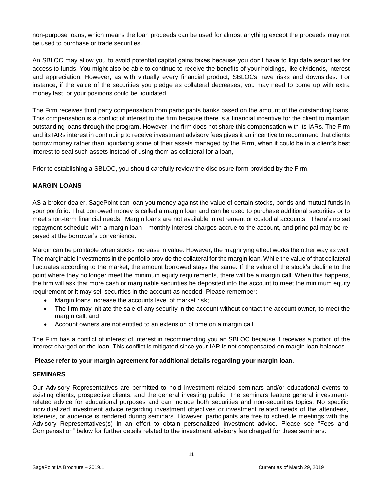non-purpose loans, which means the loan proceeds can be used for almost anything except the proceeds may not be used to purchase or trade securities.

An SBLOC may allow you to avoid potential capital gains taxes because you don't have to liquidate securities for access to funds. You might also be able to continue to receive the benefits of your holdings, like dividends, interest and appreciation. However, as with virtually every financial product, SBLOCs have risks and downsides. For instance, if the value of the securities you pledge as collateral decreases, you may need to come up with extra money fast, or your positions could be liquidated.

The Firm receives third party compensation from participants banks based on the amount of the outstanding loans. This compensation is a conflict of interest to the firm because there is a financial incentive for the client to maintain outstanding loans through the program. However, the firm does not share this compensation with its IARs. The Firm and its IARs interest in continuing to receive investment advisory fees gives it an incentive to recommend that clients borrow money rather than liquidating some of their assets managed by the Firm, when it could be in a client's best interest to seal such assets instead of using them as collateral for a loan,

Prior to establishing a SBLOC, you should carefully review the disclosure form provided by the Firm.

#### **MARGIN LOANS**

AS a broker-dealer, SagePoint can loan you money against the value of certain stocks, bonds and mutual funds in your portfolio. That borrowed money is called a margin loan and can be used to purchase additional securities or to meet short-term financial needs. Margin loans are not available in retirement or custodial accounts. There's no set repayment schedule with a margin loan—monthly interest charges accrue to the account, and principal may be repayed at the borrower's convenience.

Margin can be profitable when stocks increase in value. However, the magnifying effect works the other way as well. The marginable investments in the portfolio provide the collateral for the margin loan. While the value of that collateral fluctuates according to the market, the amount borrowed stays the same. If the value of the stock's decline to the point where they no longer meet the minimum equity requirements, there will be a margin call. When this happens, the firm will ask that more cash or marginable securities be deposited into the account to meet the minimum equity requirement or it may sell securities in the account as needed. Please remember:

- Margin loans increase the accounts level of market risk:
- The firm may initiate the sale of any security in the account without contact the account owner, to meet the margin call; and
- Account owners are not entitled to an extension of time on a margin call.

The Firm has a conflict of interest of interest in recommending you an SBLOC because it receives a portion of the interest charged on the loan. This conflict is mitigated since your IAR is not compensated on margin loan balances.

#### **Please refer to your margin agreement for additional details regarding your margin loan.**

#### <span id="page-10-0"></span>**SEMINARS**

Our Advisory Representatives are permitted to hold investment-related seminars and/or educational events to existing clients, prospective clients, and the general investing public. The seminars feature general investmentrelated advice for educational purposes and can include both securities and non-securities topics. No specific individualized investment advice regarding investment objectives or investment related needs of the attendees, listeners, or audience is rendered during seminars. However, participants are free to schedule meetings with the Advisory Representatives(s) in an effort to obtain personalized investment advice. Please see "Fees and Compensation" below for further details related to the investment advisory fee charged for these seminars.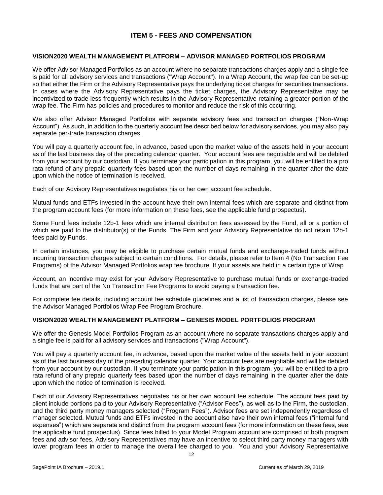## **ITEM 5 - FEES AND COMPENSATION**

#### <span id="page-11-1"></span><span id="page-11-0"></span>**VISION2020 WEALTH MANAGEMENT PLATFORM – ADVISOR MANAGED PORTFOLIOS PROGRAM**

We offer Advisor Managed Portfolios as an account where no separate transactions charges apply and a single fee is paid for all advisory services and transactions ("Wrap Account"). In a Wrap Account, the wrap fee can be set-up so that either the Firm or the Advisory Representative pays the underlying ticket charges for securities transactions. In cases where the Advisory Representative pays the ticket charges, the Advisory Representative may be incentivized to trade less frequently which results in the Advisory Representative retaining a greater portion of the wrap fee. The Firm has policies and procedures to monitor and reduce the risk of this occurring.

We also offer Advisor Managed Portfolios with separate advisory fees and transaction charges ("Non-Wrap Account"). As such, in addition to the quarterly account fee described below for advisory services, you may also pay separate per-trade transaction charges.

You will pay a quarterly account fee, in advance, based upon the market value of the assets held in your account as of the last business day of the preceding calendar quarter. Your account fees are negotiable and will be debited from your account by our custodian. If you terminate your participation in this program, you will be entitled to a pro rata refund of any prepaid quarterly fees based upon the number of days remaining in the quarter after the date upon which the notice of termination is received.

Each of our Advisory Representatives negotiates his or her own account fee schedule.

Mutual funds and ETFs invested in the account have their own internal fees which are separate and distinct from the program account fees (for more information on these fees, see the applicable fund prospectus).

Some Fund fees include 12b-1 fees which are internal distribution fees assessed by the Fund, all or a portion of which are paid to the distributor(s) of the Funds. The Firm and your Advisory Representative do not retain 12b-1 fees paid by Funds.

In certain instances, you may be eligible to purchase certain mutual funds and exchange-traded funds without incurring transaction charges subject to certain conditions. For details, please refer to Item 4 (No Transaction Fee Programs) of the Advisor Managed Portfolios wrap fee brochure. If your assets are held in a certain type of Wrap

Account, an incentive may exist for your Advisory Representative to purchase mutual funds or exchange-traded funds that are part of the No Transaction Fee Programs to avoid paying a transaction fee.

For complete fee details, including account fee schedule guidelines and a list of transaction charges, please see the Advisor Managed Portfolios Wrap Fee Program Brochure.

#### <span id="page-11-2"></span>**VISION2020 WEALTH MANAGEMENT PLATFORM – GENESIS MODEL PORTFOLIOS PROGRAM**

We offer the Genesis Model Portfolios Program as an account where no separate transactions charges apply and a single fee is paid for all advisory services and transactions ("Wrap Account").

You will pay a quarterly account fee, in advance, based upon the market value of the assets held in your account as of the last business day of the preceding calendar quarter. Your account fees are negotiable and will be debited from your account by our custodian. If you terminate your participation in this program, you will be entitled to a pro rata refund of any prepaid quarterly fees based upon the number of days remaining in the quarter after the date upon which the notice of termination is received.

Each of our Advisory Representatives negotiates his or her own account fee schedule. The account fees paid by client include portions paid to your Advisory Representative ("Advisor Fees"), as well as to the Firm, the custodian, and the third party money managers selected ("Program Fees"). Advisor fees are set independently regardless of manager selected. Mutual funds and ETFs invested in the account also have their own internal fees ("internal fund expenses") which are separate and distinct from the program account fees (for more information on these fees, see the applicable fund prospectus). Since fees billed to your Model Program account are comprised of both program fees and advisor fees, Advisory Representatives may have an incentive to select third party money managers with lower program fees in order to manage the overall fee charged to you. You and your Advisory Representative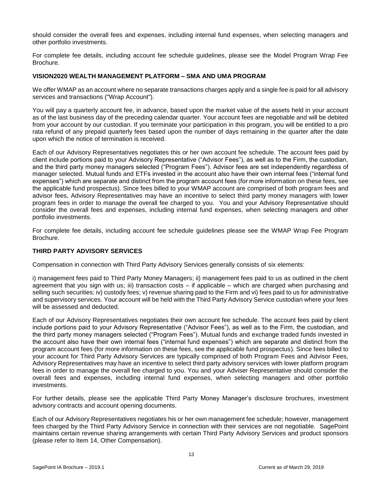should consider the overall fees and expenses, including internal fund expenses, when selecting managers and other portfolio investments.

For complete fee details, including account fee schedule guidelines, please see the Model Program Wrap Fee Brochure.

#### <span id="page-12-0"></span>**VISION2020 WEALTH MANAGEMENT PLATFORM – SMA AND UMA PROGRAM**

We offer WMAP as an account where no separate transactions charges apply and a single fee is paid for all advisory services and transactions ("Wrap Account").

You will pay a quarterly account fee, in advance, based upon the market value of the assets held in your account as of the last business day of the preceding calendar quarter. Your account fees are negotiable and will be debited from your account by our custodian. If you terminate your participation in this program, you will be entitled to a pro rata refund of any prepaid quarterly fees based upon the number of days remaining in the quarter after the date upon which the notice of termination is received.

Each of our Advisory Representatives negotiates this or her own account fee schedule. The account fees paid by client include portions paid to your Advisory Representative ("Advisor Fees"), as well as to the Firm, the custodian, and the third party money managers selected ("Program Fees"). Advisor fees are set independently regardless of manager selected. Mutual funds and ETFs invested in the account also have their own internal fees ("internal fund expenses") which are separate and distinct from the program account fees (for more information on these fees, see the applicable fund prospectus). Since fees billed to your WMAP account are comprised of both program fees and advisor fees, Advisory Representatives may have an incentive to select third party money managers with lower program fees in order to manage the overall fee charged to you. You and your Advisory Representative should consider the overall fees and expenses, including internal fund expenses, when selecting managers and other portfolio investments.

For complete fee details, including account fee schedule guidelines please see the WMAP Wrap Fee Program Brochure.

#### <span id="page-12-1"></span>**THIRD PARTY ADVISORY SERVICES**

Compensation in connection with Third Party Advisory Services generally consists of six elements:

i) management fees paid to Third Party Money Managers; ii) management fees paid to us as outlined in the client agreement that you sign with us; iii) transaction costs – if applicable – which are charged when purchasing and selling such securities; iv) custody fees; v) revenue sharing paid to the Firm and vi) fees paid to us for administrative and supervisory services. Your account will be held with the Third Party Advisory Service custodian where your fees will be assessed and deducted.

Each of our Advisory Representatives negotiates their own account fee schedule. The account fees paid by client include portions paid to your Advisory Representative ("Advisor Fees"), as well as to the Firm, the custodian, and the third party money managers selected ("Program Fees"). Mutual funds and exchange traded funds invested in the account also have their own internal fees ("internal fund expenses") which are separate and distinct from the program account fees (for more information on these fees, see the applicable fund prospectus). Since fees billed to your account for Third Party Advisory Services are typically comprised of both Program Fees and Advisor Fees, Advisory Representatives may have an incentive to select third party advisory services with lower platform program fees in order to manage the overall fee charged to you. You and your Adviser Representative should consider the overall fees and expenses, including internal fund expenses, when selecting managers and other portfolio investments.

For further details, please see the applicable Third Party Money Manager's disclosure brochures, investment advisory contracts and account opening documents.

Each of our Advisory Representatives negotiates his or her own management fee schedule; however, management fees charged by the Third Party Advisory Service in connection with their services are not negotiable. SagePoint maintains certain revenue sharing arrangements with certain Third Party Advisory Services and product sponsors (please refer to Item 14, Other Compensation).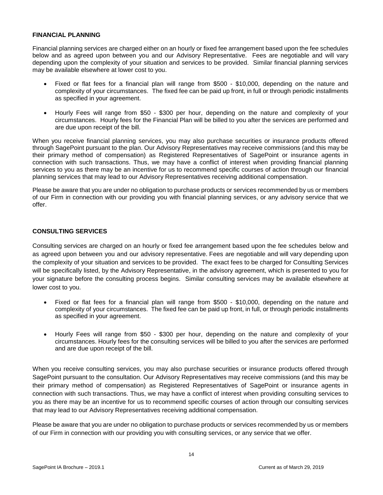#### <span id="page-13-0"></span>**FINANCIAL PLANNING**

Financial planning services are charged either on an hourly or fixed fee arrangement based upon the fee schedules below and as agreed upon between you and our Advisory Representative. Fees are negotiable and will vary depending upon the complexity of your situation and services to be provided. Similar financial planning services may be available elsewhere at lower cost to you.

- Fixed or flat fees for a financial plan will range from \$500 \$10,000, depending on the nature and complexity of your circumstances. The fixed fee can be paid up front, in full or through periodic installments as specified in your agreement.
- Hourly Fees will range from \$50 \$300 per hour, depending on the nature and complexity of your circumstances. Hourly fees for the Financial Plan will be billed to you after the services are performed and are due upon receipt of the bill.

When you receive financial planning services, you may also purchase securities or insurance products offered through SagePoint pursuant to the plan. Our Advisory Representatives may receive commissions (and this may be their primary method of compensation) as Registered Representatives of SagePoint or insurance agents in connection with such transactions. Thus, we may have a conflict of interest when providing financial planning services to you as there may be an incentive for us to recommend specific courses of action through our financial planning services that may lead to our Advisory Representatives receiving additional compensation.

Please be aware that you are under no obligation to purchase products or services recommended by us or members of our Firm in connection with our providing you with financial planning services, or any advisory service that we offer.

#### **CONSULTING SERVICES**

Consulting services are charged on an hourly or fixed fee arrangement based upon the fee schedules below and as agreed upon between you and our advisory representative. Fees are negotiable and will vary depending upon the complexity of your situation and services to be provided. The exact fees to be charged for Consulting Services will be specifically listed, by the Advisory Representative, in the advisory agreement, which is presented to you for your signature before the consulting process begins. Similar consulting services may be available elsewhere at lower cost to you.

- Fixed or flat fees for a financial plan will range from \$500 \$10,000, depending on the nature and complexity of your circumstances. The fixed fee can be paid up front, in full, or through periodic installments as specified in your agreement.
- Hourly Fees will range from \$50 \$300 per hour, depending on the nature and complexity of your circumstances. Hourly fees for the consulting services will be billed to you after the services are performed and are due upon receipt of the bill.

When you receive consulting services, you may also purchase securities or insurance products offered through SagePoint pursuant to the consultation. Our Advisory Representatives may receive commissions (and this may be their primary method of compensation) as Registered Representatives of SagePoint or insurance agents in connection with such transactions. Thus, we may have a conflict of interest when providing consulting services to you as there may be an incentive for us to recommend specific courses of action through our consulting services that may lead to our Advisory Representatives receiving additional compensation.

Please be aware that you are under no obligation to purchase products or services recommended by us or members of our Firm in connection with our providing you with consulting services, or any service that we offer.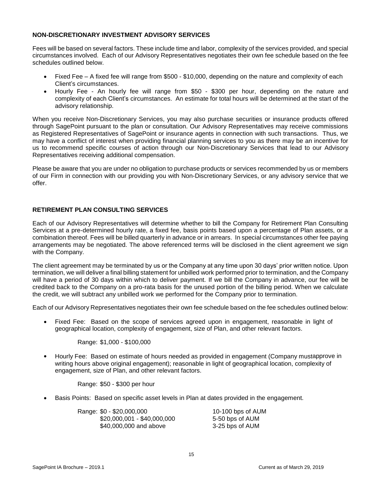#### <span id="page-14-0"></span>**NON-DISCRETIONARY INVESTMENT ADVISORY SERVICES**

Fees will be based on several factors. These include time and labor, complexity of the services provided, and special circumstances involved. Each of our Advisory Representatives negotiates their own fee schedule based on the fee schedules outlined below.

- Fixed Fee A fixed fee will range from \$500 \$10,000, depending on the nature and complexity of each Client's circumstances.
- Hourly Fee An hourly fee will range from \$50 \$300 per hour, depending on the nature and complexity of each Client's circumstances. An estimate for total hours will be determined at the start of the advisory relationship.

When you receive Non-Discretionary Services, you may also purchase securities or insurance products offered through SagePoint pursuant to the plan or consultation. Our Advisory Representatives may receive commissions as Registered Representatives of SagePoint or insurance agents in connection with such transactions. Thus, we may have a conflict of interest when providing financial planning services to you as there may be an incentive for us to recommend specific courses of action through our Non-Discretionary Services that lead to our Advisory Representatives receiving additional compensation.

Please be aware that you are under no obligation to purchase products or services recommended by us or members of our Firm in connection with our providing you with Non-Discretionary Services, or any advisory service that we offer.

#### **RETIREMENT PLAN CONSULTING SERVICES**

Each of our Advisory Representatives will determine whether to bill the Company for Retirement Plan Consulting Services at a pre-determined hourly rate, a fixed fee, basis points based upon a percentage of Plan assets, or a combination thereof. Fees will be billed quarterly in advance or in arrears. In special circumstances other fee paying arrangements may be negotiated. The above referenced terms will be disclosed in the client agreement we sign with the Company.

The client agreement may be terminated by us or the Company at any time upon 30 days' prior written notice. Upon termination, we will deliver a final billing statement for unbilled work performed prior to termination, and the Company will have a period of 30 days within which to deliver payment. If we bill the Company in advance, our fee will be credited back to the Company on a pro-rata basis for the unused portion of the billing period. When we calculate the credit, we will subtract any unbilled work we performed for the Company prior to termination.

Each of our Advisory Representatives negotiates their own fee schedule based on the fee schedules outlined below:

• Fixed Fee: Based on the scope of services agreed upon in engagement, reasonable in light of geographical location, complexity of engagement, size of Plan, and other relevant factors.

Range: \$1,000 - \$100,000

• Hourly Fee: Based on estimate of hours needed as provided in engagement (Company mustapprove in writing hours above original engagement); reasonable in light of geographical location, complexity of engagement, size of Plan, and other relevant factors.

Range: \$50 - \$300 per hour

• Basis Points: Based on specific asset levels in Plan at dates provided in the engagement.

| Range: \$0 - \$20,000,000   | 10-100 bps of AUM |
|-----------------------------|-------------------|
| $$20,000,001 - $40,000,000$ | 5-50 bps of AUM   |
| \$40,000,000 and above      | 3-25 bps of AUM   |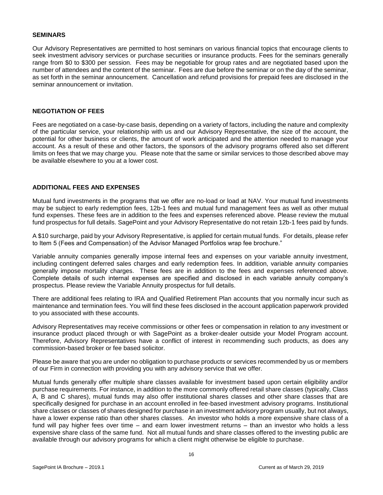#### <span id="page-15-0"></span>**SEMINARS**

Our Advisory Representatives are permitted to host seminars on various financial topics that encourage clients to seek investment advisory services or purchase securities or insurance products. Fees for the seminars generally range from \$0 to \$300 per session. Fees may be negotiable for group rates and are negotiated based upon the number of attendees and the content of the seminar. Fees are due before the seminar or on the day of the seminar, as set forth in the seminar announcement. Cancellation and refund provisions for prepaid fees are disclosed in the seminar announcement or invitation.

#### <span id="page-15-1"></span>**NEGOTIATION OF FEES**

Fees are negotiated on a case-by-case basis, depending on a variety of factors, including the nature and complexity of the particular service, your relationship with us and our Advisory Representative, the size of the account, the potential for other business or clients, the amount of work anticipated and the attention needed to manage your account. As a result of these and other factors, the sponsors of the advisory programs offered also set different limits on fees that we may charge you. Please note that the same or similar services to those described above may be available elsewhere to you at a lower cost.

#### <span id="page-15-2"></span>**ADDITIONAL FEES AND EXPENSES**

Mutual fund investments in the programs that we offer are no-load or load at NAV. Your mutual fund investments may be subject to early redemption fees, 12b-1 fees and mutual fund management fees as well as other mutual fund expenses. These fees are in addition to the fees and expenses referenced above. Please review the mutual fund prospectus for full details. SagePoint and your Advisory Representative do not retain 12b-1 fees paid by funds.

A \$10 surcharge, paid by your Advisory Representative, is applied for certain mutual funds. For details, please refer to Item 5 (Fees and Compensation) of the Advisor Managed Portfolios wrap fee brochure."

Variable annuity companies generally impose internal fees and expenses on your variable annuity investment, including contingent deferred sales charges and early redemption fees. In addition, variable annuity companies generally impose mortality charges. These fees are in addition to the fees and expenses referenced above. Complete details of such internal expenses are specified and disclosed in each variable annuity company's prospectus. Please review the Variable Annuity prospectus for full details.

There are additional fees relating to IRA and Qualified Retirement Plan accounts that you normally incur such as maintenance and termination fees. You will find these fees disclosed in the account application paperwork provided to you associated with these accounts.

Advisory Representatives may receive commissions or other fees or compensation in relation to any investment or insurance product placed through or with SagePoint as a broker-dealer outside your Model Program account. Therefore, Advisory Representatives have a conflict of interest in recommending such products, as does any commission-based broker or fee based solicitor.

Please be aware that you are under no obligation to purchase products or services recommended by us or members of our Firm in connection with providing you with any advisory service that we offer.

Mutual funds generally offer multiple share classes available for investment based upon certain eligibility and/or purchase requirements. For instance, in addition to the more commonly offered retail share classes (typically, Class A, B and C shares), mutual funds may also offer institutional shares classes and other share classes that are specifically designed for purchase in an account enrolled in fee-based investment advisory programs. Institutional share classes or classes of shares designed for purchase in an investment advisory program usually, but not always, have a lower expense ratio than other shares classes. An investor who holds a more expensive share class of a fund will pay higher fees over time – and earn lower investment returns – than an investor who holds a less expensive share class of the same fund. Not all mutual funds and share classes offered to the investing public are available through our advisory programs for which a client might otherwise be eligible to purchase.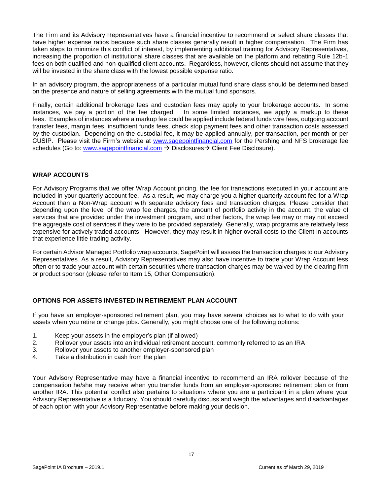The Firm and its Advisory Representatives have a financial incentive to recommend or select share classes that have higher expense ratios because such share classes generally result in higher compensation. The Firm has taken steps to minimize this conflict of interest, by implementing additional training for Advisory Representatives, increasing the proportion of institutional share classes that are available on the platform and rebating Rule 12b-1 fees on both qualified and non-qualified client accounts. Regardless, however, clients should not assume that they will be invested in the share class with the lowest possible expense ratio.

In an advisory program, the appropriateness of a particular mutual fund share class should be determined based on the presence and nature of selling agreements with the mutual fund sponsors.

Finally, certain additional brokerage fees and custodian fees may apply to your brokerage accounts. In some instances, we pay a portion of the fee charged. In some limited instances, we apply a markup to these fees. Examples of instances where a markup fee could be applied include federal funds wire fees, outgoing account transfer fees, margin fees, insufficient funds fees, check stop payment fees and other transaction costs assessed by the custodian. Depending on the custodial fee, it may be applied annually, per transaction, per month or per CUSIP. Please visit the Firm's website at [www.sagepointfinancial.com](http://www.sagepointfinancial.com/) for the Pershing and NFS brokerage fee schedules (Go to: [www.sagepointfinancial.com](http://www.sagepointfinancial.com/) → Disclosures→ Client Fee Disclosure).

#### <span id="page-16-0"></span>**WRAP ACCOUNTS**

For Advisory Programs that we offer Wrap Account pricing, the fee for transactions executed in your account are included in your quarterly account fee. As a result, we may charge you a higher quarterly account fee for a Wrap Account than a Non-Wrap account with separate advisory fees and transaction charges. Please consider that depending upon the level of the wrap fee charges, the amount of portfolio activity in the account, the value of services that are provided under the investment program, and other factors, the wrap fee may or may not exceed the aggregate cost of services if they were to be provided separately. Generally, wrap programs are relatively less expensive for actively traded accounts. However, they may result in higher overall costs to the Client in accounts that experience little trading activity.

For certain Advisor Managed Portfolio wrap accounts, SagePoint will assess the transaction charges to our Advisory Representatives. As a result, Advisory Representatives may also have incentive to trade your Wrap Account less often or to trade your account with certain securities where transaction charges may be waived by the clearing firm or product sponsor (please refer to Item 15, Other Compensation).

#### **OPTIONS FOR ASSETS INVESTED IN RETIREMENT PLAN ACCOUNT**

If you have an employer-sponsored retirement plan, you may have several choices as to what to do with your assets when you retire or change jobs. Generally, you might choose one of the following options:

- 1. Keep your assets in the employer's plan (if allowed)
- 2. Rollover your assets into an individual retirement account, commonly referred to as an IRA
- 3. Rollover your assets to another employer-sponsored plan
- 4. Take a distribution in cash from the plan

Your Advisory Representative may have a financial incentive to recommend an IRA rollover because of the compensation he/she may receive when you transfer funds from an employer-sponsored retirement plan or from another IRA. This potential conflict also pertains to situations where you are a participant in a plan where your Advisory Representative is a fiduciary. You should carefully discuss and weigh the advantages and disadvantages of each option with your Advisory Representative before making your decision.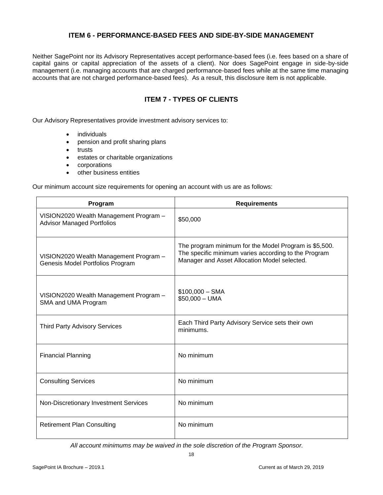## **ITEM 6 - PERFORMANCE-BASED FEES AND SIDE-BY-SIDE MANAGEMENT**

<span id="page-17-0"></span>Neither SagePoint nor its Advisory Representatives accept performance-based fees (i.e. fees based on a share of capital gains or capital appreciation of the assets of a client). Nor does SagePoint engage in side-by-side management (i.e. managing accounts that are charged performance-based fees while at the same time managing accounts that are not charged performance-based fees). As a result, this disclosure item is not applicable.

## **ITEM 7 - TYPES OF CLIENTS**

<span id="page-17-1"></span>Our Advisory Representatives provide investment advisory services to:

- individuals
- pension and profit sharing plans
- trusts
- estates or charitable organizations
- corporations
- other business entities

Our minimum account size requirements for opening an account with us are as follows:

| Program                                                                     | <b>Requirements</b>                                                                                                                                           |
|-----------------------------------------------------------------------------|---------------------------------------------------------------------------------------------------------------------------------------------------------------|
| VISION2020 Wealth Management Program -<br><b>Advisor Managed Portfolios</b> | \$50,000                                                                                                                                                      |
| VISION2020 Wealth Management Program -<br>Genesis Model Portfolios Program  | The program minimum for the Model Program is \$5,500.<br>The specific minimum varies according to the Program<br>Manager and Asset Allocation Model selected. |
| VISION2020 Wealth Management Program -<br>SMA and UMA Program               | $$100,000 - SMA$<br>$$50,000 - UMA$                                                                                                                           |
| <b>Third Party Advisory Services</b>                                        | Each Third Party Advisory Service sets their own<br>minimums.                                                                                                 |
| <b>Financial Planning</b>                                                   | No minimum                                                                                                                                                    |
| <b>Consulting Services</b>                                                  | No minimum                                                                                                                                                    |
| Non-Discretionary Investment Services                                       | No minimum                                                                                                                                                    |
| <b>Retirement Plan Consulting</b>                                           | No minimum                                                                                                                                                    |

*All account minimums may be waived in the sole discretion of the Program Sponsor.*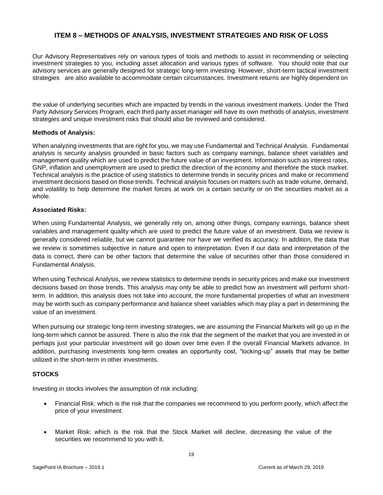## **ITEM 8 – METHODS OF ANALYSIS, INVESTMENT STRATEGIES AND RISK OF LOSS**

<span id="page-18-0"></span>Our Advisory Representatives rely on various types of tools and methods to assist in recommending or selecting investment strategies to you, including asset allocation and various types of software. You should note that our advisory services are generally designed for strategic long-term investing. However, short-term tactical investment strategies are also available to accommodate certain circumstances. Investment returns are highly dependent on

the value of underlying securities which are impacted by trends in the various investment markets. Under the Third Party Advisory Services Program, each third party asset manager will have its own methods of analysis, investment strategies and unique investment risks that should also be reviewed and considered.

#### **Methods of Analysis:**

When analyzing investments that are right for you, we may use Fundamental and Technical Analysis. Fundamental analysis is security analysis grounded in basic factors such as company earnings, balance sheet variables and management quality which are used to predict the future value of an investment. Information such as interest rates, GNP, inflation and unemployment are used to predict the direction of the economy and therefore the stock market. Technical analysis is the practice of using statistics to determine trends in security prices and make or recommend investment decisions based on those trends. Technical analysis focuses on matters such as trade volume, demand, and volatility to help determine the market forces at work on a certain security or on the securities market as a whole.

#### **Associated Risks:**

When using Fundamental Analysis, we generally rely on, among other things, company earnings, balance sheet variables and management quality which are used to predict the future value of an investment. Data we review is generally considered reliable, but we cannot guarantee nor have we verified its accuracy. In addition, the data that we review is sometimes subjective in nature and open to interpretation. Even if our data and interpretation of the data is correct, there can be other factors that determine the value of securities other than those considered in Fundamental Analysis.

When using Technical Analysis, we review statistics to determine trends in security prices and make our investment decisions based on those trends. This analysis may only be able to predict how an investment will perform shortterm. In addition, this analysis does not take into account, the more fundamental properties of what an investment may be worth such as company performance and balance sheet variables which may play a part in determining the value of an investment.

When pursuing our strategic long-term investing strategies, we are assuming the Financial Markets will go up in the long-term which cannot be assured. There is also the risk that the segment of the market that you are invested in or perhaps just your particular investment will go down over time even if the overall Financial Markets advance. In addition, purchasing investments long-term creates an opportunity cost, "locking-up" assets that may be better utilized in the short-term in other investments.

#### **STOCKS**

Investing in stocks involves the assumption of risk including:

- Financial Risk: which is the risk that the companies we recommend to you perform poorly, which affect the price of your investment.
- Market Risk: which is the risk that the Stock Market will decline, decreasing the value of the securities we recommend to you with it.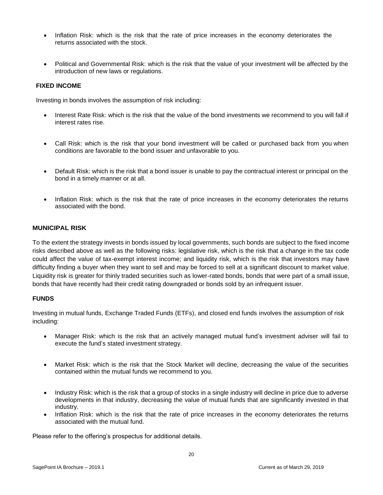- Inflation Risk: which is the risk that the rate of price increases in the economy deteriorates the returns associated with the stock.
- Political and Governmental Risk: which is the risk that the value of your investment will be affected by the introduction of new laws or regulations.

#### **FIXED INCOME**

Investing in bonds involves the assumption of risk including:

- Interest Rate Risk: which is the risk that the value of the bond investments we recommend to you will fall if interest rates rise.
- Call Risk: which is the risk that your bond investment will be called or purchased back from you when conditions are favorable to the bond issuer and unfavorable to you.
- Default Risk: which is the risk that a bond issuer is unable to pay the contractual interest or principal on the bond in a timely manner or at all.
- Inflation Risk: which is the risk that the rate of price increases in the economy deteriorates the returns associated with the bond.

#### **MUNICIPAL RISK**

To the extent the strategy invests in bonds issued by local governments, such bonds are subject to the fixed income risks described above as well as the following risks: legislative risk, which is the risk that a change in the tax code could affect the value of tax-exempt interest income; and liquidity risk, which is the risk that investors may have difficulty finding a buyer when they want to sell and may be forced to sell at a significant discount to market value. Liquidity risk is greater for thinly traded securities such as lower-rated bonds, bonds that were part of a small issue, bonds that have recently had their credit rating downgraded or bonds sold by an infrequent issuer.

#### **FUNDS**

Investing in mutual funds, Exchange Traded Funds (ETFs), and closed end funds involves the assumption of risk including:

- Manager Risk: which is the risk that an actively managed mutual fund's investment adviser will fail to execute the fund's stated investment strategy.
- Market Risk: which is the risk that the Stock Market will decline, decreasing the value of the securities contained within the mutual funds we recommend to you.
- Industry Risk: which is the risk that a group of stocks in a single industry will decline in price due to adverse developments in that industry, decreasing the value of mutual funds that are significantly invested in that industry.
- Inflation Risk: which is the risk that the rate of price increases in the economy deteriorates the returns associated with the mutual fund.

Please refer to the offering's prospectus for additional details.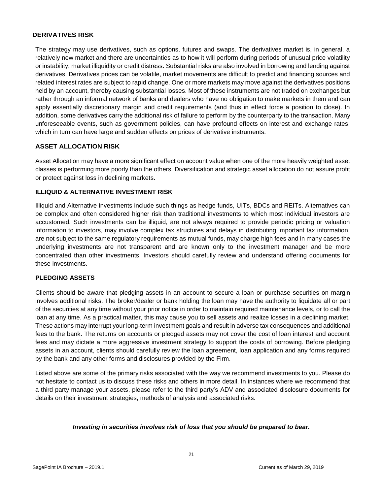#### **DERIVATIVES RISK**

The strategy may use derivatives, such as options, futures and swaps. The derivatives market is, in general, a relatively new market and there are uncertainties as to how it will perform during periods of unusual price volatility or instability, market illiquidity or credit distress. Substantial risks are also involved in borrowing and lending against derivatives. Derivatives prices can be volatile, market movements are difficult to predict and financing sources and related interest rates are subject to rapid change. One or more markets may move against the derivatives positions held by an account, thereby causing substantial losses. Most of these instruments are not traded on exchanges but rather through an informal network of banks and dealers who have no obligation to make markets in them and can apply essentially discretionary margin and credit requirements (and thus in effect force a position to close). In addition, some derivatives carry the additional risk of failure to perform by the counterparty to the transaction. Many unforeseeable events, such as government policies, can have profound effects on interest and exchange rates, which in turn can have large and sudden effects on prices of derivative instruments.

#### **ASSET ALLOCATION RISK**

Asset Allocation may have a more significant effect on account value when one of the more heavily weighted asset classes is performing more poorly than the others. Diversification and strategic asset allocation do not assure profit or protect against loss in declining markets.

#### **ILLIQUID & ALTERNATIVE INVESTMENT RISK**

Illiquid and Alternative investments include such things as hedge funds, UITs, BDCs and REITs. Alternatives can be complex and often considered higher risk than traditional investments to which most individual investors are accustomed. Such investments can be illiquid, are not always required to provide periodic pricing or valuation information to investors, may involve complex tax structures and delays in distributing important tax information, are not subject to the same regulatory requirements as mutual funds, may charge high fees and in many cases the underlying investments are not transparent and are known only to the investment manager and be more concentrated than other investments. Investors should carefully review and understand offering documents for these investments.

#### **PLEDGING ASSETS**

Clients should be aware that pledging assets in an account to secure a loan or purchase securities on margin involves additional risks. The broker/dealer or bank holding the loan may have the authority to liquidate all or part of the securities at any time without your prior notice in order to maintain required maintenance levels, or to call the loan at any time. As a practical matter, this may cause you to sell assets and realize losses in a declining market. These actions may interrupt your long-term investment goals and result in adverse tax consequences and additional fees to the bank. The returns on accounts or pledged assets may not cover the cost of loan interest and account fees and may dictate a more aggressive investment strategy to support the costs of borrowing. Before pledging assets in an account, clients should carefully review the loan agreement, loan application and any forms required by the bank and any other forms and disclosures provided by the Firm.

Listed above are some of the primary risks associated with the way we recommend investments to you. Please do not hesitate to contact us to discuss these risks and others in more detail. In instances where we recommend that a third party manage your assets, please refer to the third party's ADV and associated disclosure documents for details on their investment strategies, methods of analysis and associated risks.

#### <span id="page-20-0"></span>*Investing in securities involves risk of loss that you should be prepared to bear.*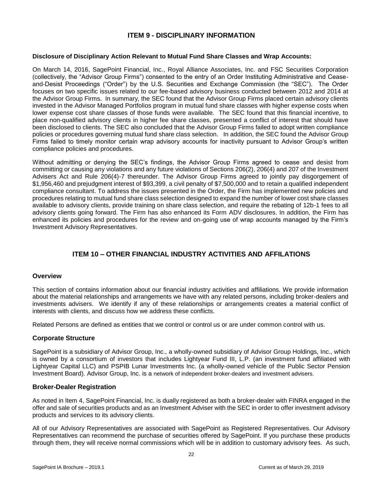## **ITEM 9 - DISCIPLINARY INFORMATION**

#### **Disclosure of Disciplinary Action Relevant to Mutual Fund Share Classes and Wrap Accounts:**

On March 14, 2016, SagePoint Financial, Inc., Royal Alliance Associates, Inc. and FSC Securities Corporation (collectively, the "Advisor Group Firms") consented to the entry of an Order Instituting Administrative and Ceaseand-Desist Proceedings ("Order") by the U.S. Securities and Exchange Commission (the "SEC"). The Order focuses on two specific issues related to our fee-based advisory business conducted between 2012 and 2014 at the Advisor Group Firms. In summary, the SEC found that the Advisor Group Firms placed certain advisory clients invested in the Advisor Managed Portfolios program in mutual fund share classes with higher expense costs when lower expense cost share classes of those funds were available. The SEC found that this financial incentive, to place non-qualified advisory clients in higher fee share classes, presented a conflict of interest that should have been disclosed to clients. The SEC also concluded that the Advisor Group Firms failed to adopt written compliance policies or procedures governing mutual fund share class selection. In addition, the SEC found the Advisor Group Firms failed to timely monitor certain wrap advisory accounts for inactivity pursuant to Advisor Group's written compliance policies and procedures.

Without admitting or denying the SEC's findings, the Advisor Group Firms agreed to cease and desist from committing or causing any violations and any future violations of Sections 206(2), 206(4) and 207 of the Investment Advisers Act and Rule 206(4)-7 thereunder. The Advisor Group Firms agreed to jointly pay disgorgement of \$1,956,460 and prejudgment interest of \$93,399, a civil penalty of \$7,500,000 and to retain a qualified independent compliance consultant. To address the issues presented in the Order, the Firm has implemented new policies and procedures relating to mutual fund share class selection designed to expand the number of lower cost share classes available to advisory clients, provide training on share class selection, and require the rebating of 12b-1 fees to all advisory clients going forward. The Firm has also enhanced its Form ADV disclosures. In addition, the Firm has enhanced its policies and procedures for the review and on-going use of wrap accounts managed by the Firm's Investment Advisory Representatives.

## **ITEM 10 – OTHER FINANCIAL INDUSTRY ACTIVITIES AND AFFILATIONS**

#### <span id="page-21-0"></span>**Overview**

This section of contains information about our financial industry activities and affiliations. We provide information about the material relationships and arrangements we have with any related persons, including broker-dealers and investments advisers. We identify if any of these relationships or arrangements creates a material conflict of interests with clients, and discuss how we address these conflicts.

Related Persons are defined as entities that we control or control us or are under common control with us.

#### **Corporate Structure**

SagePoint is a subsidiary of Advisor Group, Inc., a wholly-owned subsidiary of Advisor Group Holdings, Inc., which is owned by a consortium of investors that includes Lightyear Fund III, L.P. (an investment fund affiliated with Lightyear Capital LLC) and PSPIB Lunar Investments Inc. (a wholly-owned vehicle of the Public Sector Pension Investment Board). Advisor Group, Inc. is a network of independent broker-dealers and investment advisers.

#### **Broker-Dealer Registration**

As noted in Item 4, SagePoint Financial, Inc. is dually registered as both a broker-dealer with FINRA engaged in the offer and sale of securities products and as an Investment Adviser with the SEC in order to offer investment advisory products and services to its advisory clients.

All of our Advisory Representatives are associated with SagePoint as Registered Representatives. Our Advisory Representatives can recommend the purchase of securities offered by SagePoint. If you purchase these products through them, they will receive normal commissions which will be in addition to customary advisory fees. As such,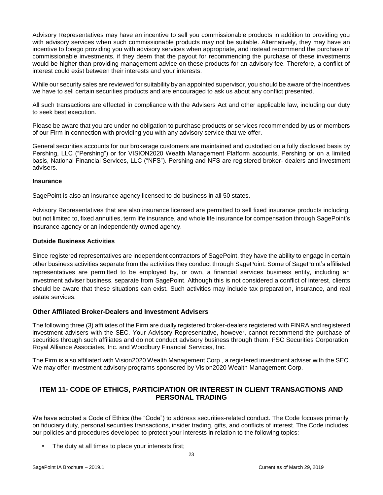Advisory Representatives may have an incentive to sell you commissionable products in addition to providing you with advisory services when such commissionable products may not be suitable. Alternatively, they may have an incentive to forego providing you with advisory services when appropriate, and instead recommend the purchase of commissionable investments, if they deem that the payout for recommending the purchase of these investments would be higher than providing management advice on these products for an advisory fee. Therefore, a conflict of interest could exist between their interests and your interests.

While our security sales are reviewed for suitability by an appointed supervisor, you should be aware of the incentives we have to sell certain securities products and are encouraged to ask us about any conflict presented.

All such transactions are effected in compliance with the Advisers Act and other applicable law, including our duty to seek best execution.

Please be aware that you are under no obligation to purchase products or services recommended by us or members of our Firm in connection with providing you with any advisory service that we offer.

General securities accounts for our brokerage customers are maintained and custodied on a fully disclosed basis by Pershing, LLC ("Pershing") or for VISION2020 Wealth Management Platform accounts, Pershing or on a limited basis, National Financial Services, LLC ("NFS"). Pershing and NFS are registered broker- dealers and investment advisers.

#### **Insurance**

SagePoint is also an insurance agency licensed to do business in all 50 states.

Advisory Representatives that are also insurance licensed are permitted to sell fixed insurance products including, but not limited to, fixed annuities, term life insurance, and whole life insurance for compensation through SagePoint's insurance agency or an independently owned agency.

#### **Outside Business Activities**

Since registered representatives are independent contractors of SagePoint, they have the ability to engage in certain other business activities separate from the activities they conduct through SagePoint. Some of SagePoint's affiliated representatives are permitted to be employed by, or own, a financial services business entity, including an investment adviser business, separate from SagePoint. Although this is not considered a conflict of interest, clients should be aware that these situations can exist. Such activities may include tax preparation, insurance, and real estate services.

#### **Other Affiliated Broker-Dealers and Investment Advisers**

The following three (3) affiliates of the Firm are dually registered broker-dealers registered with FINRA and registered investment advisers with the SEC. Your Advisory Representative, however, cannot recommend the purchase of securities through such affiliates and do not conduct advisory business through them: FSC Securities Corporation, Royal Alliance Associates, Inc. and Woodbury Financial Services, Inc.

The Firm is also affiliated with Vision2020 Wealth Management Corp., a registered investment adviser with the SEC. We may offer investment advisory programs sponsored by Vision2020 Wealth Management Corp.

## <span id="page-22-0"></span>**ITEM 11- CODE OF ETHICS, PARTICIPATION OR INTEREST IN CLIENT TRANSACTIONS AND PERSONAL TRADING**

We have adopted a Code of Ethics (the "Code") to address securities-related conduct. The Code focuses primarily on fiduciary duty, personal securities transactions, insider trading, gifts, and conflicts of interest. The Code includes our policies and procedures developed to protect your interests in relation to the following topics:

• The duty at all times to place your interests first;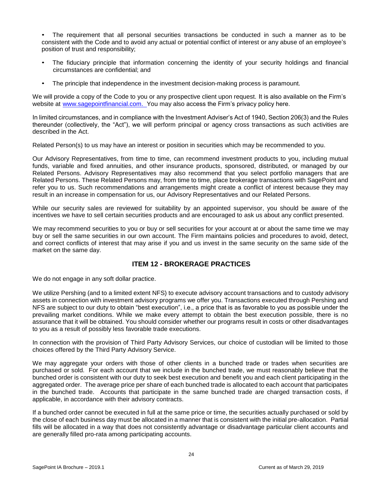• The requirement that all personal securities transactions be conducted in such a manner as to be consistent with the Code and to avoid any actual or potential conflict of interest or any abuse of an employee's position of trust and responsibility;

- The fiduciary principle that information concerning the identity of your security holdings and financial circumstances are confidential; and
- The principle that independence in the investment decision-making process is paramount.

We will provide a copy of the Code to you or any prospective client upon request. It is also available on the Firm's website at www.sagepointfinancial.com. You may also access the Firm's privacy policy here.

In limited circumstances, and in compliance with the Investment Adviser's Act of 1940, Section 206(3) and the Rules thereunder (collectively, the "Act"), we will perform principal or agency cross transactions as such activities are described in the Act.

Related Person(s) to us may have an interest or position in securities which may be recommended to you.

Our Advisory Representatives, from time to time, can recommend investment products to you, including mutual funds, variable and fixed annuities, and other insurance products, sponsored, distributed, or managed by our Related Persons. Advisory Representatives may also recommend that you select portfolio managers that are Related Persons. These Related Persons may, from time to time, place brokerage transactions with SagePoint and refer you to us. Such recommendations and arrangements might create a conflict of interest because they may result in an increase in compensation for us, our Advisory Representatives and our Related Persons.

While our security sales are reviewed for suitability by an appointed supervisor, you should be aware of the incentives we have to sell certain securities products and are encouraged to ask us about any conflict presented.

We may recommend securities to you or buy or sell securities for your account at or about the same time we may buy or sell the same securities in our own account. The Firm maintains policies and procedures to avoid, detect, and correct conflicts of interest that may arise if you and us invest in the same security on the same side of the market on the same day.

## **ITEM 12 - BROKERAGE PRACTICES**

<span id="page-23-0"></span>We do not engage in any soft dollar practice.

We utilize Pershing (and to a limited extent NFS) to execute advisory account transactions and to custody advisory assets in connection with investment advisory programs we offer you. Transactions executed through Pershing and NFS are subject to our duty to obtain "best execution", i.e., a price that is as favorable to you as possible under the prevailing market conditions. While we make every attempt to obtain the best execution possible, there is no assurance that it will be obtained. You should consider whether our programs result in costs or other disadvantages to you as a result of possibly less favorable trade executions.

In connection with the provision of Third Party Advisory Services, our choice of custodian will be limited to those choices offered by the Third Party Advisory Service.

We may aggregate your orders with those of other clients in a bunched trade or trades when securities are purchased or sold. For each account that we include in the bunched trade, we must reasonably believe that the bunched order is consistent with our duty to seek best execution and benefit you and each client participating in the aggregated order. The average price per share of each bunched trade is allocated to each account that participates in the bunched trade. Accounts that participate in the same bunched trade are charged transaction costs, if applicable, in accordance with their advisory contracts.

If a bunched order cannot be executed in full at the same price or time, the securities actually purchased or sold by the close of each business day must be allocated in a manner that is consistent with the initial pre-allocation. Partial fills will be allocated in a way that does not consistently advantage or disadvantage particular client accounts and are generally filled pro-rata among participating accounts.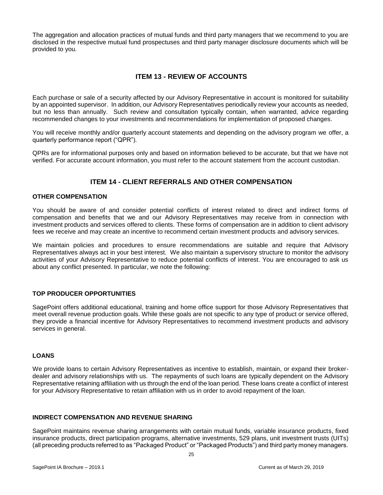The aggregation and allocation practices of mutual funds and third party managers that we recommend to you are disclosed in the respective mutual fund prospectuses and third party manager disclosure documents which will be provided to you.

## **ITEM 13 - REVIEW OF ACCOUNTS**

<span id="page-24-0"></span>Each purchase or sale of a security affected by our Advisory Representative in account is monitored for suitability by an appointed supervisor. In addition, our Advisory Representatives periodically review your accounts as needed, but no less than annually. Such review and consultation typically contain, when warranted, advice regarding recommended changes to your investments and recommendations for implementation of proposed changes.

You will receive monthly and/or quarterly account statements and depending on the advisory program we offer, a quarterly performance report ("QPR").

<span id="page-24-1"></span>QPRs are for informational purposes only and based on information believed to be accurate, but that we have not verified. For accurate account information, you must refer to the account statement from the account custodian.

## **ITEM 14 - CLIENT REFERRALS AND OTHER COMPENSATION**

#### **OTHER COMPENSATION**

You should be aware of and consider potential conflicts of interest related to direct and indirect forms of compensation and benefits that we and our Advisory Representatives may receive from in connection with investment products and services offered to clients. These forms of compensation are in addition to client advisory fees we receive and may create an incentive to recommend certain investment products and advisory services.

We maintain policies and procedures to ensure recommendations are suitable and require that Advisory Representatives always act in your best interest. We also maintain a supervisory structure to monitor the advisory activities of your Advisory Representative to reduce potential conflicts of interest. You are encouraged to ask us about any conflict presented. In particular, we note the following:

#### **TOP PRODUCER OPPORTUNITIES**

SagePoint offers additional educational, training and home office support for those Advisory Representatives that meet overall revenue production goals. While these goals are not specific to any type of product or service offered, they provide a financial incentive for Advisory Representatives to recommend investment products and advisory services in general.

#### **LOANS**

We provide loans to certain Advisory Representatives as incentive to establish, maintain, or expand their brokerdealer and advisory relationships with us. The repayments of such loans are typically dependent on the Advisory Representative retaining affiliation with us through the end of the loan period. These loans create a conflict of interest for your Advisory Representative to retain affiliation with us in order to avoid repayment of the loan.

#### **INDIRECT COMPENSATION AND REVENUE SHARING**

SagePoint maintains revenue sharing arrangements with certain mutual funds, variable insurance products, fixed insurance products, direct participation programs, alternative investments, 529 plans, unit investment trusts (UITs) (all preceding products referred to as "Packaged Product" or "Packaged Products") and third party money managers.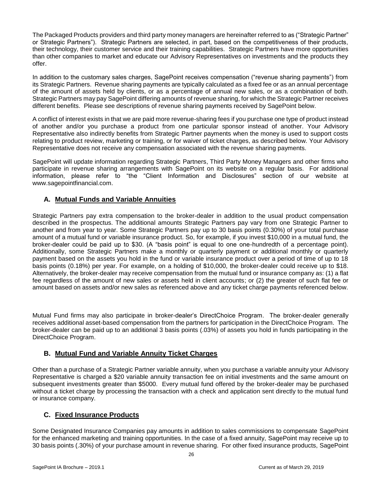The Packaged Products providers and third party money managers are hereinafter referred to as ("Strategic Partner" or Strategic Partners"). Strategic Partners are selected, in part, based on the competitiveness of their products, their technology, their customer service and their training capabilities. Strategic Partners have more opportunities than other companies to market and educate our Advisory Representatives on investments and the products they offer.

In addition to the customary sales charges, SagePoint receives compensation ("revenue sharing payments") from its Strategic Partners. Revenue sharing payments are typically calculated as a fixed fee or as an annual percentage of the amount of assets held by clients, or as a percentage of annual new sales, or as a combination of both. Strategic Partners may pay SagePoint differing amounts of revenue sharing, for which the Strategic Partner receives different benefits. Please see descriptions of revenue sharing payments received by SagePoint below.

A conflict of interest exists in that we are paid more revenue-sharing fees if you purchase one type of product instead of another and/or you purchase a product from one particular sponsor instead of another. Your Advisory Representative also indirectly benefits from Strategic Partner payments when the money is used to support costs relating to product review, marketing or training, or for waiver of ticket charges, as described below. Your Advisory Representative does not receive any compensation associated with the revenue sharing payments.

SagePoint will update information regarding Strategic Partners, Third Party Money Managers and other firms who participate in revenue sharing arrangements with SagePoint on its website on a regular basis. For additional information, please refer to "the "Client Information and Disclosures" section of our website at www.sagepointfinancial.com.

## **A. Mutual Funds and Variable Annuities**

Strategic Partners pay extra compensation to the broker-dealer in addition to the usual product compensation described in the prospectus. The additional amounts Strategic Partners pay vary from one Strategic Partner to another and from year to year. Some Strategic Partners pay up to 30 basis points (0.30%) of your total purchase amount of a mutual fund or variable insurance product. So, for example, if you invest \$10,000 in a mutual fund, the broker-dealer could be paid up to \$30. (A "basis point" is equal to one one-hundredth of a percentage point). Additionally, some Strategic Partners make a monthly or quarterly payment or additional monthly or quarterly payment based on the assets you hold in the fund or variable insurance product over a period of time of up to 18 basis points (0.18%) per year. For example, on a holding of \$10,000, the broker-dealer could receive up to \$18. Alternatively, the broker-dealer may receive compensation from the mutual fund or insurance company as: (1) a flat fee regardless of the amount of new sales or assets held in client accounts; or (2) the greater of such flat fee or amount based on assets and/or new sales as referenced above and any ticket charge payments referenced below.

Mutual Fund firms may also participate in broker-dealer's DirectChoice Program. The broker-dealer generally receives additional asset-based compensation from the partners for participation in the DirectChoice Program. The broker-dealer can be paid up to an additional 3 basis points (.03%) of assets you hold in funds participating in the DirectChoice Program.

## **B. Mutual Fund and Variable Annuity Ticket Charges**

Other than a purchase of a Strategic Partner variable annuity, when you purchase a variable annuity your Advisory Representative is charged a \$20 variable annuity transaction fee on initial investments and the same amount on subsequent investments greater than \$5000. Every mutual fund offered by the broker-dealer may be purchased without a ticket charge by processing the transaction with a check and application sent directly to the mutual fund or insurance company.

## **C. Fixed Insurance Products**

Some Designated Insurance Companies pay amounts in addition to sales commissions to compensate SagePoint for the enhanced marketing and training opportunities. In the case of a fixed annuity, SagePoint may receive up to 30 basis points (.30%) of your purchase amount in revenue sharing. For other fixed insurance products, SagePoint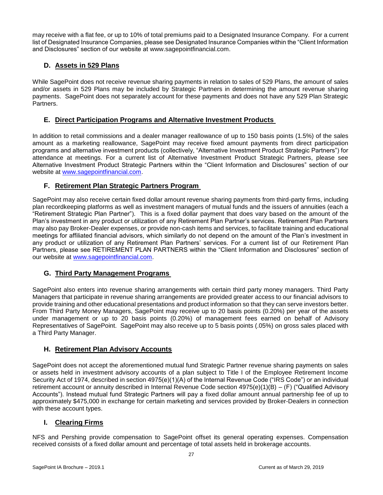may receive with a flat fee, or up to 10% of total premiums paid to a Designated Insurance Company. For a current list of Designated Insurance Companies, please see Designated Insurance Companies within the "Client Information and Disclosures" section of our website at www.sagepointfinancial.com.

## **D. Assets in 529 Plans**

While SagePoint does not receive revenue sharing payments in relation to sales of 529 Plans, the amount of sales and/or assets in 529 Plans may be included by Strategic Partners in determining the amount revenue sharing payments. SagePoint does not separately account for these payments and does not have any 529 Plan Strategic Partners.

## **E. Direct Participation Programs and Alternative Investment Products**

In addition to retail commissions and a dealer manager reallowance of up to 150 basis points (1.5%) of the sales amount as a marketing reallowance, SagePoint may receive fixed amount payments from direct participation programs and alternative investment products (collectively, "Alternative Investment Product Strategic Partners") for attendance at meetings. For a current list of Alternative Investment Product Strategic Partners, please see Alternative Investment Product Strategic Partners within the "Client Information and Disclosures" section of our website at [www.sagepointfinancial.com.](http://www.sagepointfinancial.com/)

## **F. Retirement Plan Strategic Partners Program**

SagePoint may also receive certain fixed dollar amount revenue sharing payments from third-party firms, including plan recordkeeping platforms as well as investment managers of mutual funds and the issuers of annuities (each a "Retirement Strategic Plan Partner"). This is a fixed dollar payment that does vary based on the amount of the Plan's investment in any product or utilization of any Retirement Plan Partner's services. Retirement Plan Partners may also pay Broker-Dealer expenses, or provide non-cash items and services, to facilitate training and educational meetings for affiliated financial advisors, which similarly do not depend on the amount of the Plan's investment in any product or utilization of any Retirement Plan Partners' services. For a current list of our Retirement Plan Partners, please see RETIREMENT PLAN PARTNERS within the "Client Information and Disclosures" section of our website at [www.sagepointfinancial.com.](http://www.sagepointfinancial.com/)

## **G. Third Party Management Programs**

SagePoint also enters into revenue sharing arrangements with certain third party money managers. Third Party Managers that participate in revenue sharing arrangements are provided greater access to our financial advisors to provide training and other educational presentations and product information so that they can serve investors better. From Third Party Money Managers, SagePoint may receive up to 20 basis points (0.20%) per year of the assets under management or up to 20 basis points (0.20%) of management fees earned on behalf of Advisory Representatives of SagePoint. SagePoint may also receive up to 5 basis points (.05%) on gross sales placed with a Third Party Manager.

## **H. Retirement Plan Advisory Accounts**

SagePoint does not accept the aforementioned mutual fund Strategic Partner revenue sharing payments on sales or assets held in investment advisory accounts of a plan subject to Title I of the Employee Retirement Income Security Act of 1974, described in section 4975(e)(1)(A) of the Internal Revenue Code ("IRS Code") or an individual retirement account or annuity described in Internal Revenue Code section 4975(e)(1)(B) – (F) ("Qualified Advisory Accounts"). Instead mutual fund Strategic Partners will pay a fixed dollar amount annual partnership fee of up to approximately \$475,000 in exchange for certain marketing and services provided by Broker-Dealers in connection with these account types.

## **I. Clearing Firms**

NFS and Pershing provide compensation to SagePoint offset its general operating expenses. Compensation received consists of a fixed dollar amount and percentage of total assets held in brokerage accounts.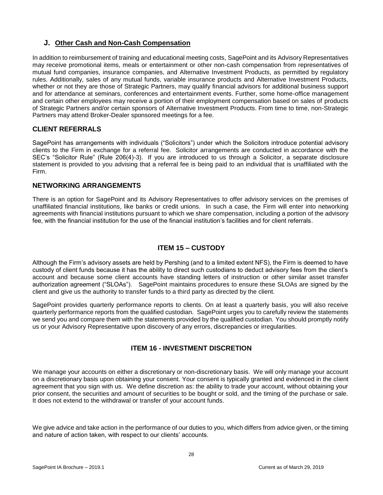## **J. Other Cash and Non-Cash Compensation**

In addition to reimbursement of training and educational meeting costs, SagePoint and its Advisory Representatives may receive promotional items, meals or entertainment or other non-cash compensation from representatives of mutual fund companies, insurance companies, and Alternative Investment Products, as permitted by regulatory rules. Additionally, sales of any mutual funds, variable insurance products and Alternative Investment Products, whether or not they are those of Strategic Partners, may qualify financial advisors for additional business support and for attendance at seminars, conferences and entertainment events. Further, some home-office management and certain other employees may receive a portion of their employment compensation based on sales of products of Strategic Partners and/or certain sponsors of Alternative Investment Products. From time to time, non-Strategic Partners may attend Broker-Dealer sponsored meetings for a fee.

## **CLIENT REFERRALS**

SagePoint has arrangements with individuals ("Solicitors") under which the Solicitors introduce potential advisory clients to the Firm in exchange for a referral fee. Solicitor arrangements are conducted in accordance with the SEC's "Solicitor Rule" (Rule 206(4)-3). If you are introduced to us through a Solicitor, a separate disclosure statement is provided to you advising that a referral fee is being paid to an individual that is unaffiliated with the Firm.

## **NETWORKING ARRANGEMENTS**

There is an option for SagePoint and its Advisory Representatives to offer advisory services on the premises of unaffiliated financial institutions, like banks or credit unions. In such a case, the Firm will enter into networking agreements with financial institutions pursuant to which we share compensation, including a portion of the advisory fee, with the financial institution for the use of the financial institution's facilities and for client referrals.

## **ITEM 15 – CUSTODY**

<span id="page-27-0"></span>Although the Firm's advisory assets are held by Pershing (and to a limited extent NFS), the Firm is deemed to have custody of client funds because it has the ability to direct such custodians to deduct advisory fees from the client's account and because some client accounts have standing letters of instruction or other similar asset transfer authorization agreement ("SLOAs"). SagePoint maintains procedures to ensure these SLOAs are signed by the client and give us the authority to transfer funds to a third party as directed by the client.

SagePoint provides quarterly performance reports to clients. On at least a quarterly basis, you will also receive quarterly performance reports from the qualified custodian. SagePoint urges you to carefully review the statements we send you and compare them with the statements provided by the qualified custodian. You should promptly notify us or your Advisory Representative upon discovery of any errors, discrepancies or irregularities.

## **ITEM 16 - INVESTMENT DISCRETION**

<span id="page-27-1"></span>We manage your accounts on either a discretionary or non-discretionary basis. We will only manage your account on a discretionary basis upon obtaining your consent. Your consent is typically granted and evidenced in the client agreement that you sign with us. We define discretion as: the ability to trade your account, without obtaining your prior consent, the securities and amount of securities to be bought or sold, and the timing of the purchase or sale. It does not extend to the withdrawal or transfer of your account funds.

We give advice and take action in the performance of our duties to you, which differs from advice given, or the timing and nature of action taken, with respect to our clients' accounts.